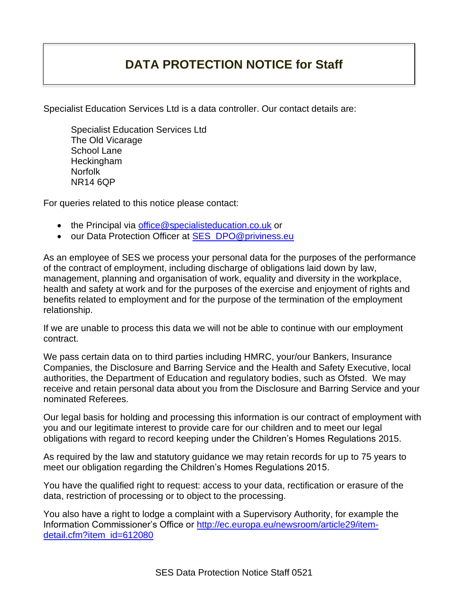## **DATA PROTECTION NOTICE for Staff**

Specialist Education Services Ltd is a data controller. Our contact details are:

Specialist Education Services Ltd The Old Vicarage School Lane **Heckingham** Norfolk NR14 6QP

For queries related to this notice please contact:

- the Principal via [office@specialisteducation.co.uk](mailto:office@specialisteducation.co.uk) or
- our Data Protection Officer at [SES\\_DPO@priviness.eu](mailto:SES_DPO@priviness.eu)

As an employee of SES we process your personal data for the purposes of the performance of the contract of employment, including discharge of obligations laid down by law, management, planning and organisation of work, equality and diversity in the workplace, health and safety at work and for the purposes of the exercise and enjoyment of rights and benefits related to employment and for the purpose of the termination of the employment relationship.

If we are unable to process this data we will not be able to continue with our employment contract.

We pass certain data on to third parties including HMRC, your/our Bankers, Insurance Companies, the Disclosure and Barring Service and the Health and Safety Executive, local authorities, the Department of Education and regulatory bodies, such as Ofsted. We may receive and retain personal data about you from the Disclosure and Barring Service and your nominated Referees.

Our legal basis for holding and processing this information is our contract of employment with you and our legitimate interest to provide care for our children and to meet our legal obligations with regard to record keeping under the Children's Homes Regulations 2015.

As required by the law and statutory guidance we may retain records for up to 75 years to meet our obligation regarding the Children's Homes Regulations 2015.

You have the qualified right to request: access to your data, rectification or erasure of the data, restriction of processing or to object to the processing.

You also have a right to lodge a complaint with a Supervisory Authority, for example the Information Commissioner's Office or [http://ec.europa.eu/newsroom/article29/item](http://ec.europa.eu/newsroom/article29/item-detail.cfm?item_id=612080)[detail.cfm?item\\_id=612080](http://ec.europa.eu/newsroom/article29/item-detail.cfm?item_id=612080)